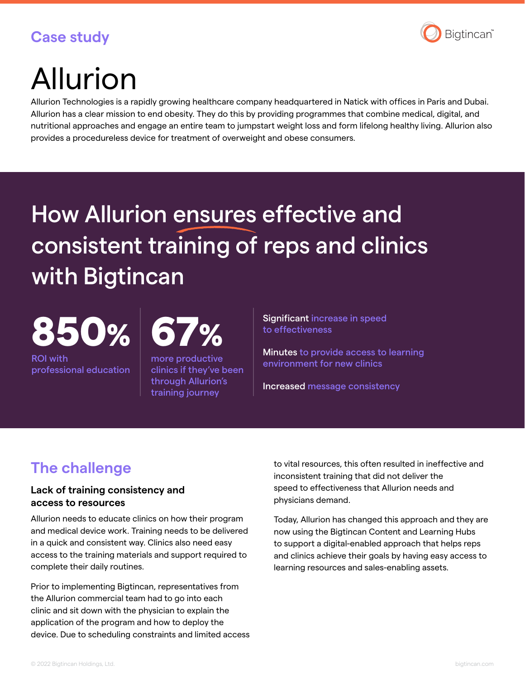## **Case study**



# Allurion

Allurion Technologies is a rapidly growing healthcare company headquartered in Natick with offices in Paris and Dubai. Allurion has a clear mission to end obesity. They do this by providing programmes that combine medical, digital, and nutritional approaches and engage an entire team to jumpstart weight loss and form lifelong healthy living. Allurion also provides a procedureless device for treatment of overweight and obese consumers.

## How Allurion ensures effective and consistent training of reps and clinics with Bigtincan

850%

ROI with professional education

more productive clinics if they've been through Allurion's training journey

Significant increase in speed to effectiveness

Minutes to provide access to learning environment for new clinics

Increased message consistency

## **The challenge**

#### **Lack of training consistency and access to resources**

Allurion needs to educate clinics on how their program and medical device work. Training needs to be delivered in a quick and consistent way. Clinics also need easy access to the training materials and support required to complete their daily routines.

Prior to implementing Bigtincan, representatives from the Allurion commercial team had to go into each clinic and sit down with the physician to explain the application of the program and how to deploy the device. Due to scheduling constraints and limited access to vital resources, this often resulted in ineffective and inconsistent training that did not deliver the speed to effectiveness that Allurion needs and physicians demand.

Today, Allurion has changed this approach and they are now using the Bigtincan Content and Learning Hubs to support a digital-enabled approach that helps reps and clinics achieve their goals by having easy access to learning resources and sales-enabling assets.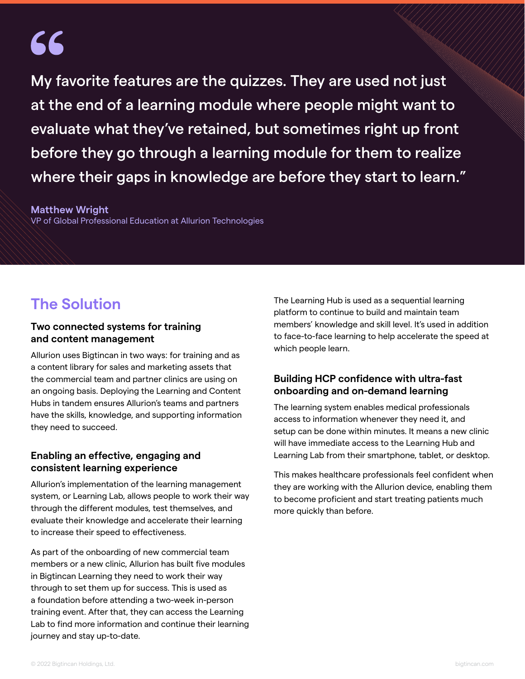# 66

My favorite features are the quizzes. They are used not just at the end of a learning module where people might want to evaluate what they've retained, but sometimes right up front before they go through a learning module for them to realize where their gaps in knowledge are before they start to learn."

#### **Matthew Wright**

VP of Global Professional Education at Allurion Technologies

### **The Solution**

#### **Two connected systems for training and content management**

Allurion uses Bigtincan in two ways: for training and as a content library for sales and marketing assets that the commercial team and partner clinics are using on an ongoing basis. Deploying the Learning and Content Hubs in tandem ensures Allurion's teams and partners have the skills, knowledge, and supporting information they need to succeed.

#### **Enabling an effective, engaging and consistent learning experience**

Allurion's implementation of the learning management system, or Learning Lab, allows people to work their way through the different modules, test themselves, and evaluate their knowledge and accelerate their learning to increase their speed to effectiveness.

As part of the onboarding of new commercial team members or a new clinic, Allurion has built five modules in Bigtincan Learning they need to work their way through to set them up for success. This is used as a foundation before attending a two-week in-person training event. After that, they can access the Learning Lab to find more information and continue their learning journey and stay up-to-date.

The Learning Hub is used as a sequential learning platform to continue to build and maintain team members' knowledge and skill level. It's used in addition to face-to-face learning to help accelerate the speed at which people learn.

#### **Building HCP confidence with ultra-fast onboarding and on-demand learning**

The learning system enables medical professionals access to information whenever they need it, and setup can be done within minutes. It means a new clinic will have immediate access to the Learning Hub and Learning Lab from their smartphone, tablet, or desktop.

This makes healthcare professionals feel confident when they are working with the Allurion device, enabling them to become proficient and start treating patients much more quickly than before.